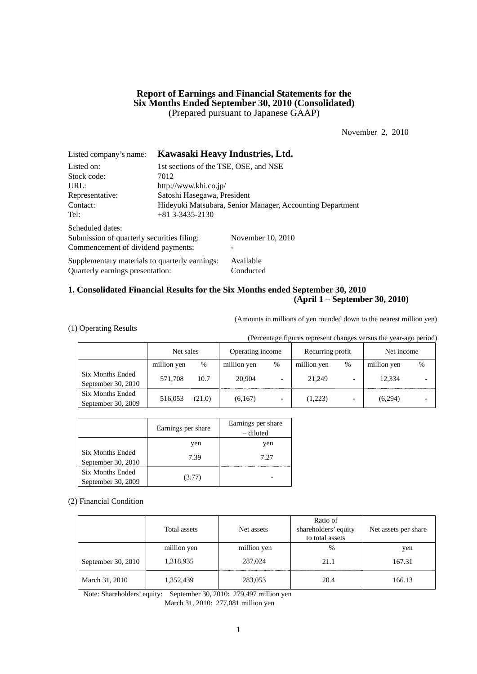## **Report of Earnings and Financial Statements for the Six Months Ended September 30, 2010 (Consolidated)**  (Prepared pursuant to Japanese GAAP)

November 2, 2010

| Listed company's name:                         | Kawasaki Heavy Industries, Ltd.                           |                       |  |  |  |
|------------------------------------------------|-----------------------------------------------------------|-----------------------|--|--|--|
| Listed on:                                     | 1st sections of the TSE, OSE, and NSE                     |                       |  |  |  |
| Stock code:                                    | 7012                                                      |                       |  |  |  |
| URL:                                           |                                                           | http://www.khi.co.jp/ |  |  |  |
| Representative:                                | Satoshi Hasegawa, President                               |                       |  |  |  |
| Contact:                                       | Hideyuki Matsubara, Senior Manager, Accounting Department |                       |  |  |  |
| Tel:                                           | $+81$ 3-3435-2130                                         |                       |  |  |  |
| Scheduled dates:                               |                                                           |                       |  |  |  |
| Submission of quarterly securities filing:     |                                                           | November 10, 2010     |  |  |  |
| Commencement of dividend payments:             |                                                           |                       |  |  |  |
| Supplementary materials to quarterly earnings: |                                                           | Available             |  |  |  |
| Quarterly earnings presentation:               |                                                           | Conducted             |  |  |  |

## **1. Consolidated Financial Results for the Six Months ended September 30, 2010 (April 1 – September 30, 2010)**

(Amounts in millions of yen rounded down to the nearest million yen)

(1) Operating Results

(Percentage figures represent changes versus the year-ago period)

|                                          | Net sales   |        | Operating income |                          | Recurring profit |                          | Net income  |      |
|------------------------------------------|-------------|--------|------------------|--------------------------|------------------|--------------------------|-------------|------|
|                                          | million yen | %      | million yen      | $\%$                     | million yen      | $\%$                     | million yen | $\%$ |
| Six Months Ended<br>September 30, $2010$ | 571.708     | 10.7   | 20,904           | $\overline{\phantom{0}}$ | 21,249           | -                        | 12.334      |      |
| Six Months Ended<br>September 30, 2009   | 516,053     | (21.0) | (6,167)          | $\overline{\phantom{0}}$ | (1,223)          | $\overline{\phantom{0}}$ | (6,294)     |      |

|                                               | Earnings per share | Earnings per share<br>– diluted |
|-----------------------------------------------|--------------------|---------------------------------|
|                                               | yen                | yen                             |
| <b>Six Months Ended</b><br>September 30, 2010 | 7.39               | 7.27                            |
| <b>Six Months Ended</b><br>September 30, 2009 | (3.77)             |                                 |

(2) Financial Condition

|                      | Total assets | Net assets  | Ratio of<br>shareholders' equity<br>to total assets | Net assets per share |
|----------------------|--------------|-------------|-----------------------------------------------------|----------------------|
|                      | million yen  | million yen | %                                                   | yen                  |
| September 30, $2010$ | 1,318,935    | 287,024     | 21.1                                                | 167.31               |
| March 31, 2010       | 1,352,439    | 283,053     | 20.4                                                | 166.13               |

Note: Shareholders' equity: September 30, 2010: 279,497 million yen March 31, 2010: 277,081 million yen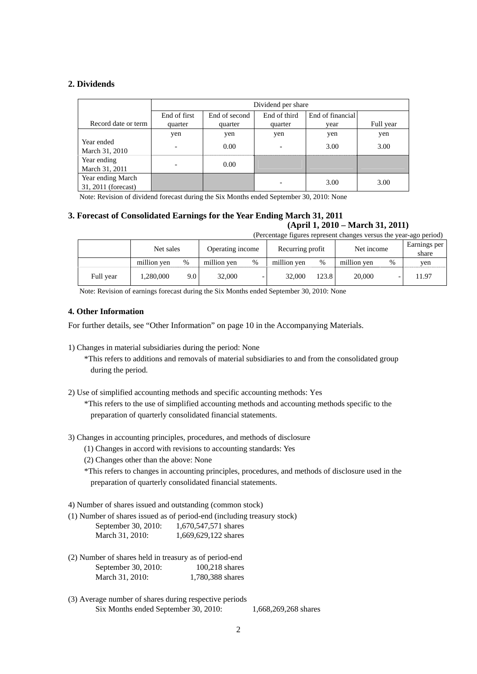## **2. Dividends**

|                                          |                              | Dividend per share                                |                          |      |           |  |  |
|------------------------------------------|------------------------------|---------------------------------------------------|--------------------------|------|-----------|--|--|
|                                          | End of first                 | End of third<br>End of financial<br>End of second |                          |      |           |  |  |
| Record date or term                      | quarter                      | quarter                                           | quarter                  | vear | Full year |  |  |
|                                          | yen                          | yen                                               | yen                      | yen  | yen       |  |  |
| Year ended<br>March 31, 2010             | $\qquad \qquad \blacksquare$ | 0.00                                              | $\overline{\phantom{a}}$ | 3.00 | 3.00      |  |  |
| Year ending<br>March 31, 2011            |                              | 0.00                                              |                          |      |           |  |  |
| Year ending March<br>31, 2011 (forecast) |                              |                                                   |                          | 3.00 | 3.00      |  |  |

Note: Revision of dividend forecast during the Six Months ended September 30, 2010: None

# **3. Forecast of Consolidated Earnings for the Year Ending March 31, 2011**

**(April 1, 2010 – March 31, 2011)**  (Percentage figures represent changes versus the year-ago period)

| referring rights represent enanges versus the year-ago period) |             |       |                  |   |                  |       |             |      |                       |
|----------------------------------------------------------------|-------------|-------|------------------|---|------------------|-------|-------------|------|-----------------------|
|                                                                | Net sales   |       | Operating income |   | Recurring profit |       | Net income  |      | Earnings per<br>share |
|                                                                | million ven | $\%$  | million yen      | % | million yen      | %     | million ven | $\%$ | ven                   |
| Full year                                                      | 1.280.000   | 9.O I | 32,000           |   | 32,000           | 123.8 | 20,000      |      | 11.97                 |

Note: Revision of earnings forecast during the Six Months ended September 30, 2010: None

## **4. Other Information**

For further details, see "Other Information" on page 10 in the Accompanying Materials.

1) Changes in material subsidiaries during the period: None

\*This refers to additions and removals of material subsidiaries to and from the consolidated group during the period.

2) Use of simplified accounting methods and specific accounting methods: Yes

\*This refers to the use of simplified accounting methods and accounting methods specific to the preparation of quarterly consolidated financial statements.

- 3) Changes in accounting principles, procedures, and methods of disclosure
	- (1) Changes in accord with revisions to accounting standards: Yes
	- (2) Changes other than the above: None

\*This refers to changes in accounting principles, procedures, and methods of disclosure used in the preparation of quarterly consolidated financial statements.

4) Number of shares issued and outstanding (common stock)

(1) Number of shares issued as of period-end (including treasury stock)

| September 30, 2010: | 1,670,547,571 shares |
|---------------------|----------------------|
| March 31, 2010:     | 1,669,629,122 shares |

- (2) Number of shares held in treasury as of period-end September 30, 2010: 100,218 shares March 31, 2010: 1,780,388 shares
- (3) Average number of shares during respective periods Six Months ended September 30, 2010: 1,668,269,268 shares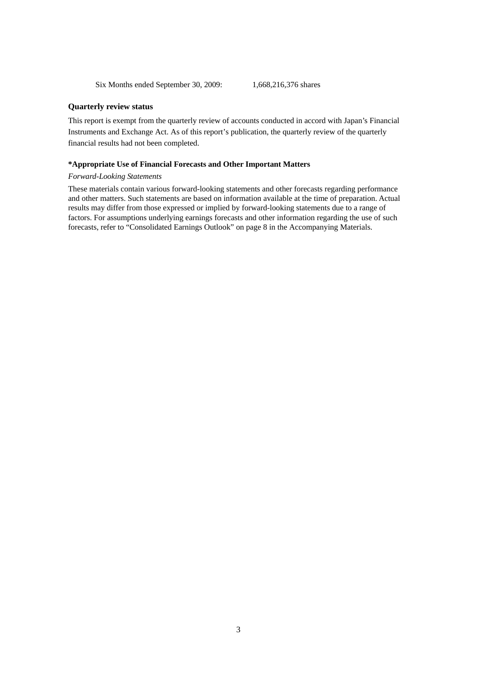Six Months ended September 30, 2009: 1,668,216,376 shares

### **Quarterly review status**

This report is exempt from the quarterly review of accounts conducted in accord with Japan's Financial Instruments and Exchange Act. As of this report's publication, the quarterly review of the quarterly financial results had not been completed.

### **\*Appropriate Use of Financial Forecasts and Other Important Matters**

### *Forward-Looking Statements*

These materials contain various forward-looking statements and other forecasts regarding performance and other matters. Such statements are based on information available at the time of preparation. Actual results may differ from those expressed or implied by forward-looking statements due to a range of factors. For assumptions underlying earnings forecasts and other information regarding the use of such forecasts, refer to "Consolidated Earnings Outlook" on page 8 in the Accompanying Materials.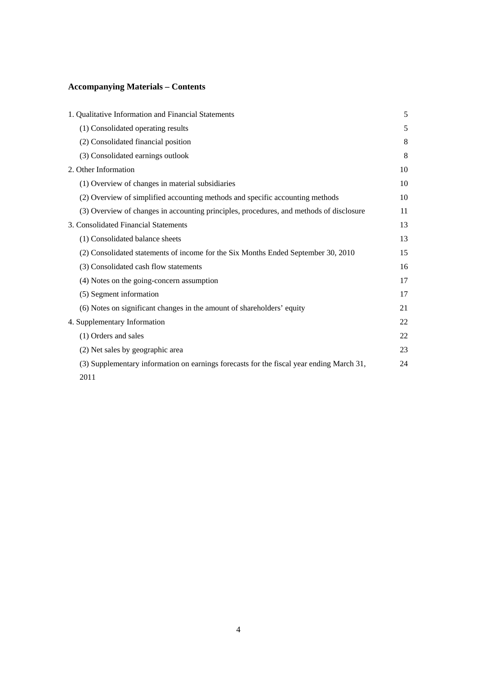# **Accompanying Materials – Contents**

| 1. Qualitative Information and Financial Statements                                      | 5  |
|------------------------------------------------------------------------------------------|----|
| (1) Consolidated operating results                                                       | 5  |
| (2) Consolidated financial position                                                      | 8  |
| (3) Consolidated earnings outlook                                                        | 8  |
| 2. Other Information                                                                     | 10 |
| (1) Overview of changes in material subsidiaries                                         | 10 |
| (2) Overview of simplified accounting methods and specific accounting methods            | 10 |
| (3) Overview of changes in accounting principles, procedures, and methods of disclosure  | 11 |
| 3. Consolidated Financial Statements                                                     | 13 |
| (1) Consolidated balance sheets                                                          | 13 |
| (2) Consolidated statements of income for the Six Months Ended September 30, 2010        | 15 |
| (3) Consolidated cash flow statements                                                    | 16 |
| (4) Notes on the going-concern assumption                                                | 17 |
| (5) Segment information                                                                  | 17 |
| (6) Notes on significant changes in the amount of shareholders' equity                   | 21 |
| 4. Supplementary Information                                                             | 22 |
| (1) Orders and sales                                                                     | 22 |
| (2) Net sales by geographic area                                                         | 23 |
| (3) Supplementary information on earnings forecasts for the fiscal year ending March 31, | 24 |
| 2011                                                                                     |    |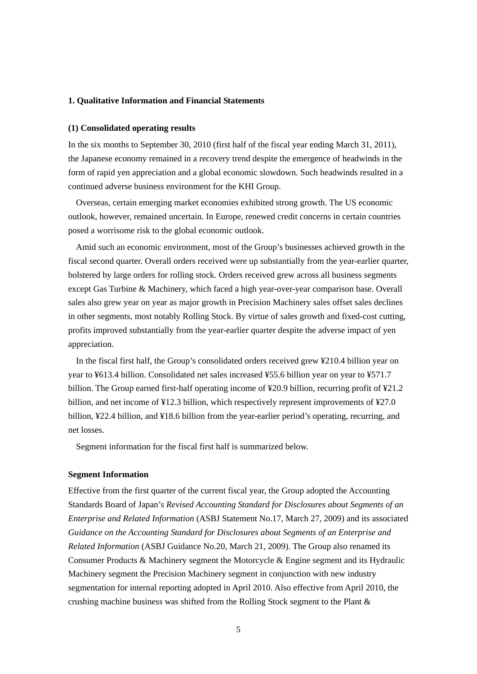## **1. Qualitative Information and Financial Statements**

### **(1) Consolidated operating results**

In the six months to September 30, 2010 (first half of the fiscal year ending March 31, 2011), the Japanese economy remained in a recovery trend despite the emergence of headwinds in the form of rapid yen appreciation and a global economic slowdown. Such headwinds resulted in a continued adverse business environment for the KHI Group.

Overseas, certain emerging market economies exhibited strong growth. The US economic outlook, however, remained uncertain. In Europe, renewed credit concerns in certain countries posed a worrisome risk to the global economic outlook.

Amid such an economic environment, most of the Group's businesses achieved growth in the fiscal second quarter. Overall orders received were up substantially from the year-earlier quarter, bolstered by large orders for rolling stock. Orders received grew across all business segments except Gas Turbine & Machinery, which faced a high year-over-year comparison base. Overall sales also grew year on year as major growth in Precision Machinery sales offset sales declines in other segments, most notably Rolling Stock. By virtue of sales growth and fixed-cost cutting, profits improved substantially from the year-earlier quarter despite the adverse impact of yen appreciation.

In the fiscal first half, the Group's consolidated orders received grew ¥210.4 billion year on year to ¥613.4 billion. Consolidated net sales increased ¥55.6 billion year on year to ¥571.7 billion. The Group earned first-half operating income of ¥20.9 billion, recurring profit of ¥21.2 billion, and net income of ¥12.3 billion, which respectively represent improvements of ¥27.0 billion, ¥22.4 billion, and ¥18.6 billion from the year-earlier period's operating, recurring, and net losses.

Segment information for the fiscal first half is summarized below.

### **Segment Information**

Effective from the first quarter of the current fiscal year, the Group adopted the Accounting Standards Board of Japan's *Revised Accounting Standard for Disclosures about Segments of an Enterprise and Related Information* (ASBJ Statement No.17, March 27, 2009) and its associated *Guidance on the Accounting Standard for Disclosures about Segments of an Enterprise and Related Information* (ASBJ Guidance No.20, March 21, 2009). The Group also renamed its Consumer Products & Machinery segment the Motorcycle & Engine segment and its Hydraulic Machinery segment the Precision Machinery segment in conjunction with new industry segmentation for internal reporting adopted in April 2010. Also effective from April 2010, the crushing machine business was shifted from the Rolling Stock segment to the Plant &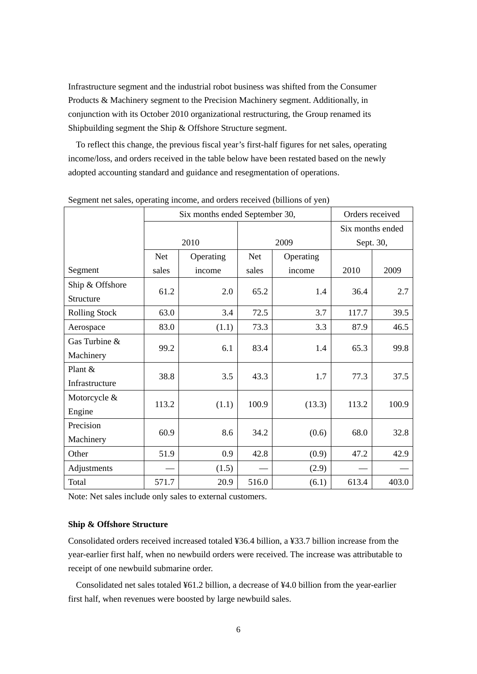Infrastructure segment and the industrial robot business was shifted from the Consumer Products & Machinery segment to the Precision Machinery segment. Additionally, in conjunction with its October 2010 organizational restructuring, the Group renamed its Shipbuilding segment the Ship & Offshore Structure segment.

To reflect this change, the previous fiscal year's first-half figures for net sales, operating income/loss, and orders received in the table below have been restated based on the newly adopted accounting standard and guidance and resegmentation of operations.

|                              | Six months ended September 30, |           |            |           | Orders received |                  |  |
|------------------------------|--------------------------------|-----------|------------|-----------|-----------------|------------------|--|
|                              |                                |           |            |           |                 | Six months ended |  |
|                              |                                | 2010      | 2009       |           | Sept. 30,       |                  |  |
|                              | <b>Net</b>                     | Operating | <b>Net</b> | Operating |                 |                  |  |
| Segment                      | sales                          | income    | sales      | income    | 2010            | 2009             |  |
| Ship & Offshore<br>Structure | 61.2                           | 2.0       | 65.2       | 1.4       | 36.4            | 2.7              |  |
| <b>Rolling Stock</b>         | 63.0                           | 3.4       | 72.5       | 3.7       | 117.7           | 39.5             |  |
| Aerospace                    | 83.0                           | (1.1)     | 73.3       | 3.3       | 87.9            | 46.5             |  |
| Gas Turbine &<br>Machinery   | 99.2                           | 6.1       | 83.4       | 1.4       | 65.3            | 99.8             |  |
| Plant &<br>Infrastructure    | 38.8                           | 3.5       | 43.3       | 1.7       | 77.3            | 37.5             |  |
| Motorcycle &<br>Engine       | 113.2                          | (1.1)     | 100.9      | (13.3)    | 113.2           | 100.9            |  |
| Precision<br>Machinery       | 60.9                           | 8.6       | 34.2       | (0.6)     | 68.0            | 32.8             |  |
| Other                        | 51.9                           | 0.9       | 42.8       | (0.9)     | 47.2            | 42.9             |  |
| Adjustments                  |                                | (1.5)     |            | (2.9)     |                 |                  |  |
| Total                        | 571.7                          | 20.9      | 516.0      | (6.1)     | 613.4           | 403.0            |  |

Segment net sales, operating income, and orders received (billions of yen)

Note: Net sales include only sales to external customers.

### **Ship & Offshore Structure**

Consolidated orders received increased totaled ¥36.4 billion, a ¥33.7 billion increase from the year-earlier first half, when no newbuild orders were received. The increase was attributable to receipt of one newbuild submarine order.

Consolidated net sales totaled ¥61.2 billion, a decrease of ¥4.0 billion from the year-earlier first half, when revenues were boosted by large newbuild sales.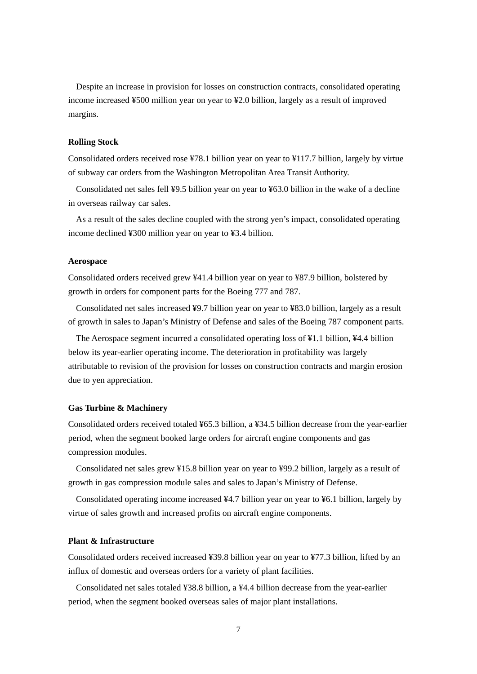Despite an increase in provision for losses on construction contracts, consolidated operating income increased ¥500 million year on year to ¥2.0 billion, largely as a result of improved margins.

## **Rolling Stock**

Consolidated orders received rose ¥78.1 billion year on year to ¥117.7 billion, largely by virtue of subway car orders from the Washington Metropolitan Area Transit Authority.

Consolidated net sales fell ¥9.5 billion year on year to ¥63.0 billion in the wake of a decline in overseas railway car sales.

As a result of the sales decline coupled with the strong yen's impact, consolidated operating income declined ¥300 million year on year to ¥3.4 billion.

## **Aerospace**

Consolidated orders received grew ¥41.4 billion year on year to ¥87.9 billion, bolstered by growth in orders for component parts for the Boeing 777 and 787.

Consolidated net sales increased ¥9.7 billion year on year to ¥83.0 billion, largely as a result of growth in sales to Japan's Ministry of Defense and sales of the Boeing 787 component parts.

The Aerospace segment incurred a consolidated operating loss of ¥1.1 billion, ¥4.4 billion below its year-earlier operating income. The deterioration in profitability was largely attributable to revision of the provision for losses on construction contracts and margin erosion due to yen appreciation.

## **Gas Turbine & Machinery**

Consolidated orders received totaled ¥65.3 billion, a ¥34.5 billion decrease from the year-earlier period, when the segment booked large orders for aircraft engine components and gas compression modules.

Consolidated net sales grew ¥15.8 billion year on year to ¥99.2 billion, largely as a result of growth in gas compression module sales and sales to Japan's Ministry of Defense.

Consolidated operating income increased ¥4.7 billion year on year to ¥6.1 billion, largely by virtue of sales growth and increased profits on aircraft engine components.

## **Plant & Infrastructure**

Consolidated orders received increased ¥39.8 billion year on year to ¥77.3 billion, lifted by an influx of domestic and overseas orders for a variety of plant facilities.

Consolidated net sales totaled ¥38.8 billion, a ¥4.4 billion decrease from the year-earlier period, when the segment booked overseas sales of major plant installations.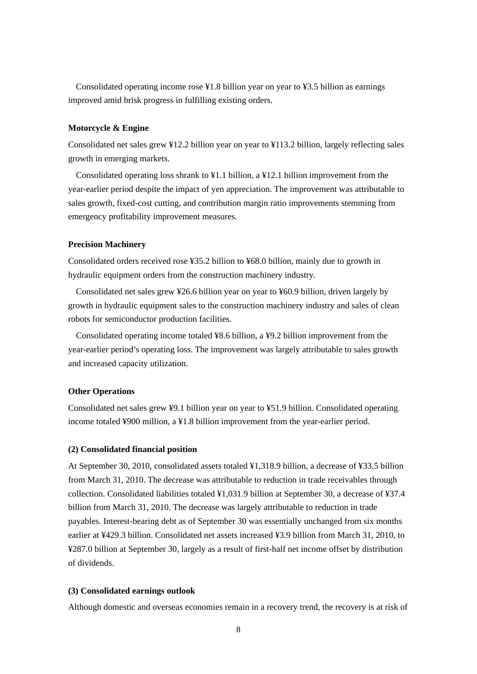Consolidated operating income rose ¥1.8 billion year on year to ¥3.5 billion as earnings improved amid brisk progress in fulfilling existing orders.

### **Motorcycle & Engine**

Consolidated net sales grew ¥12.2 billion year on year to ¥113.2 billion, largely reflecting sales growth in emerging markets.

Consolidated operating loss shrank to  $\frac{1}{2}$ . billion, a  $\frac{1}{2}$  billion improvement from the year-earlier period despite the impact of yen appreciation. The improvement was attributable to sales growth, fixed-cost cutting, and contribution margin ratio improvements stemming from emergency profitability improvement measures.

### **Precision Machinery**

Consolidated orders received rose ¥35.2 billion to ¥68.0 billion, mainly due to growth in hydraulic equipment orders from the construction machinery industry.

Consolidated net sales grew ¥26.6 billion year on year to ¥60.9 billion, driven largely by growth in hydraulic equipment sales to the construction machinery industry and sales of clean robots for semiconductor production facilities.

Consolidated operating income totaled ¥8.6 billion, a ¥9.2 billion improvement from the year-earlier period's operating loss. The improvement was largely attributable to sales growth and increased capacity utilization.

## **Other Operations**

Consolidated net sales grew ¥9.1 billion year on year to ¥51.9 billion. Consolidated operating income totaled ¥900 million, a ¥1.8 billion improvement from the year-earlier period.

### **(2) Consolidated financial position**

At September 30, 2010, consolidated assets totaled ¥1,318.9 billion, a decrease of ¥33.5 billion from March 31, 2010. The decrease was attributable to reduction in trade receivables through collection. Consolidated liabilities totaled ¥1,031.9 billion at September 30, a decrease of ¥37.4 billion from March 31, 2010. The decrease was largely attributable to reduction in trade payables. Interest-bearing debt as of September 30 was essentially unchanged from six months earlier at ¥429.3 billion. Consolidated net assets increased ¥3.9 billion from March 31, 2010, to ¥287.0 billion at September 30, largely as a result of first-half net income offset by distribution of dividends.

### **(3) Consolidated earnings outlook**

Although domestic and overseas economies remain in a recovery trend, the recovery is at risk of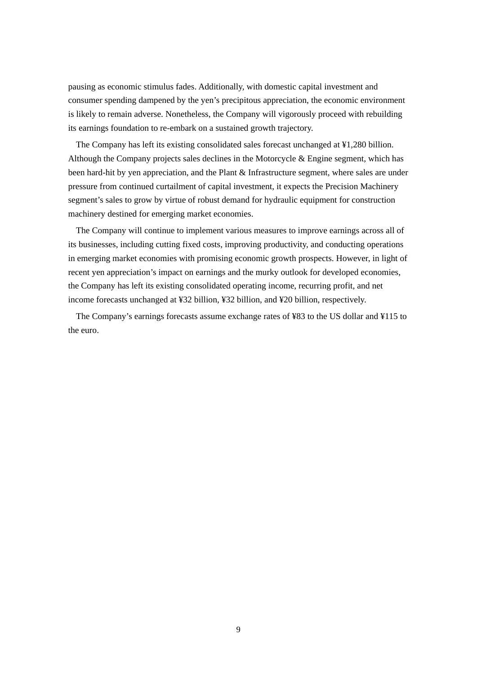pausing as economic stimulus fades. Additionally, with domestic capital investment and consumer spending dampened by the yen's precipitous appreciation, the economic environment is likely to remain adverse. Nonetheless, the Company will vigorously proceed with rebuilding its earnings foundation to re-embark on a sustained growth trajectory.

The Company has left its existing consolidated sales forecast unchanged at ¥1,280 billion. Although the Company projects sales declines in the Motorcycle  $\&$  Engine segment, which has been hard-hit by yen appreciation, and the Plant & Infrastructure segment, where sales are under pressure from continued curtailment of capital investment, it expects the Precision Machinery segment's sales to grow by virtue of robust demand for hydraulic equipment for construction machinery destined for emerging market economies.

The Company will continue to implement various measures to improve earnings across all of its businesses, including cutting fixed costs, improving productivity, and conducting operations in emerging market economies with promising economic growth prospects. However, in light of recent yen appreciation's impact on earnings and the murky outlook for developed economies, the Company has left its existing consolidated operating income, recurring profit, and net income forecasts unchanged at ¥32 billion, ¥32 billion, and ¥20 billion, respectively.

The Company's earnings forecasts assume exchange rates of ¥83 to the US dollar and ¥115 to the euro.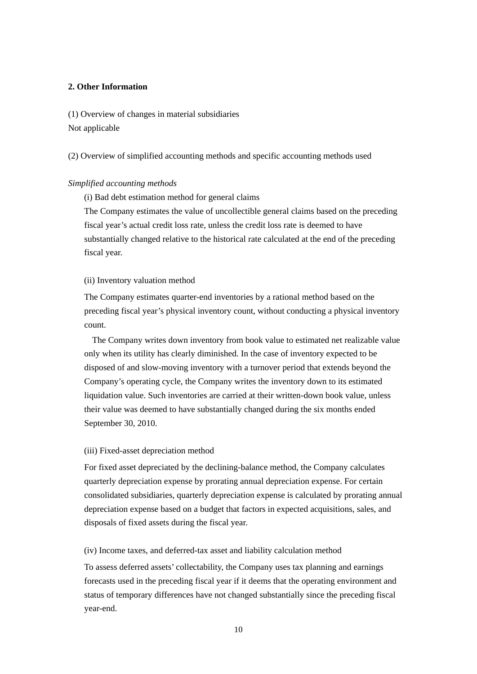## **2. Other Information**

(1) Overview of changes in material subsidiaries Not applicable

(2) Overview of simplified accounting methods and specific accounting methods used

## *Simplified accounting methods*

(i) Bad debt estimation method for general claims

The Company estimates the value of uncollectible general claims based on the preceding fiscal year's actual credit loss rate, unless the credit loss rate is deemed to have substantially changed relative to the historical rate calculated at the end of the preceding fiscal year.

#### (ii) Inventory valuation method

The Company estimates quarter-end inventories by a rational method based on the preceding fiscal year's physical inventory count, without conducting a physical inventory count.

The Company writes down inventory from book value to estimated net realizable value only when its utility has clearly diminished. In the case of inventory expected to be disposed of and slow-moving inventory with a turnover period that extends beyond the Company's operating cycle, the Company writes the inventory down to its estimated liquidation value. Such inventories are carried at their written-down book value, unless their value was deemed to have substantially changed during the six months ended September 30, 2010.

### (iii) Fixed-asset depreciation method

For fixed asset depreciated by the declining-balance method, the Company calculates quarterly depreciation expense by prorating annual depreciation expense. For certain consolidated subsidiaries, quarterly depreciation expense is calculated by prorating annual depreciation expense based on a budget that factors in expected acquisitions, sales, and disposals of fixed assets during the fiscal year.

(iv) Income taxes, and deferred-tax asset and liability calculation method

To assess deferred assets' collectability, the Company uses tax planning and earnings forecasts used in the preceding fiscal year if it deems that the operating environment and status of temporary differences have not changed substantially since the preceding fiscal year-end.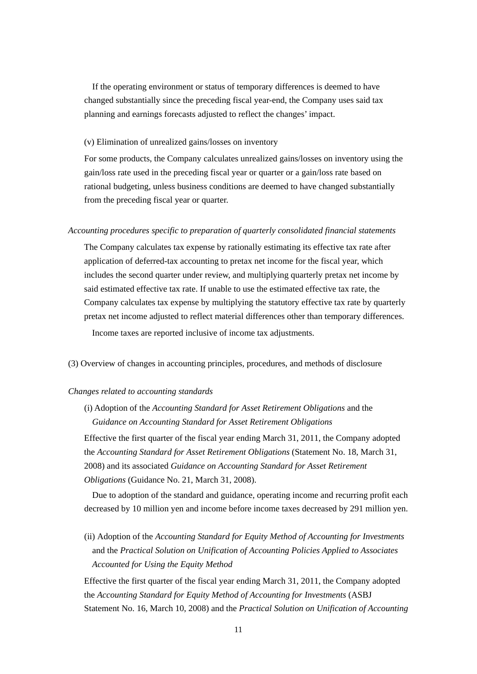If the operating environment or status of temporary differences is deemed to have changed substantially since the preceding fiscal year-end, the Company uses said tax planning and earnings forecasts adjusted to reflect the changes' impact.

### (v) Elimination of unrealized gains/losses on inventory

For some products, the Company calculates unrealized gains/losses on inventory using the gain/loss rate used in the preceding fiscal year or quarter or a gain/loss rate based on rational budgeting, unless business conditions are deemed to have changed substantially from the preceding fiscal year or quarter.

#### *Accounting procedures specific to preparation of quarterly consolidated financial statements*

The Company calculates tax expense by rationally estimating its effective tax rate after application of deferred-tax accounting to pretax net income for the fiscal year, which includes the second quarter under review, and multiplying quarterly pretax net income by said estimated effective tax rate. If unable to use the estimated effective tax rate, the Company calculates tax expense by multiplying the statutory effective tax rate by quarterly pretax net income adjusted to reflect material differences other than temporary differences. Income taxes are reported inclusive of income tax adjustments.

(3) Overview of changes in accounting principles, procedures, and methods of disclosure

### *Changes related to accounting standards*

(i) Adoption of the *Accounting Standard for Asset Retirement Obligations* and the *Guidance on Accounting Standard for Asset Retirement Obligations*

Effective the first quarter of the fiscal year ending March 31, 2011, the Company adopted the *Accounting Standard for Asset Retirement Obligations* (Statement No. 18, March 31, 2008) and its associated *Guidance on Accounting Standard for Asset Retirement Obligations* (Guidance No. 21, March 31, 2008).

Due to adoption of the standard and guidance, operating income and recurring profit each decreased by 10 million yen and income before income taxes decreased by 291 million yen.

(ii) Adoption of the *Accounting Standard for Equity Method of Accounting for Investments* and the *Practical Solution on Unification of Accounting Policies Applied to Associates Accounted for Using the Equity Method*

Effective the first quarter of the fiscal year ending March 31, 2011, the Company adopted the *Accounting Standard for Equity Method of Accounting for Investments* (ASBJ Statement No. 16, March 10, 2008) and the *Practical Solution on Unification of Accounting*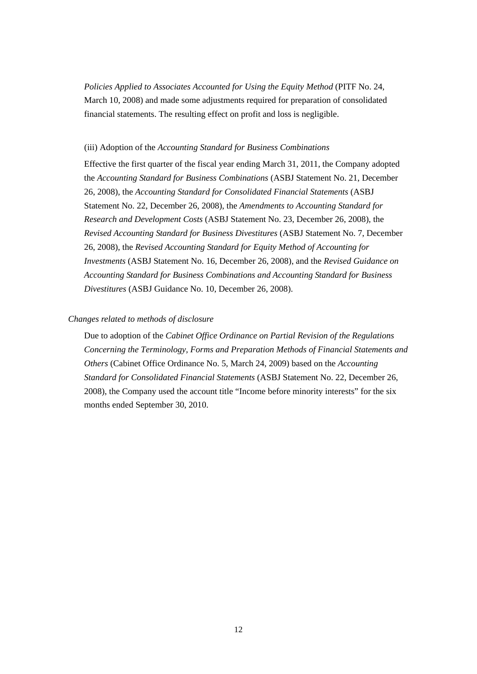*Policies Applied to Associates Accounted for Using the Equity Method* (PITF No. 24, March 10, 2008) and made some adjustments required for preparation of consolidated financial statements. The resulting effect on profit and loss is negligible.

### (iii) Adoption of the *Accounting Standard for Business Combinations*

Effective the first quarter of the fiscal year ending March 31, 2011, the Company adopted the *Accounting Standard for Business Combinations* (ASBJ Statement No. 21, December 26, 2008)*,* the *Accounting Standard for Consolidated Financial Statements* (ASBJ Statement No. 22, December 26, 2008), the *Amendments to Accounting Standard for Research and Development Costs* (ASBJ Statement No. 23, December 26, 2008), the *Revised Accounting Standard for Business Divestitures* (ASBJ Statement No. 7, December 26, 2008), the *Revised Accounting Standard for Equity Method of Accounting for Investments* (ASBJ Statement No. 16, December 26, 2008), and the *Revised Guidance on Accounting Standard for Business Combinations and Accounting Standard for Business Divestitures* (ASBJ Guidance No. 10, December 26, 2008).

## *Changes related to methods of disclosure*

Due to adoption of the *Cabinet Office Ordinance on Partial Revision of the Regulations Concerning the Terminology, Forms and Preparation Methods of Financial Statements and Others* (Cabinet Office Ordinance No. 5, March 24, 2009) based on the *Accounting Standard for Consolidated Financial Statements* (ASBJ Statement No. 22, December 26, 2008), the Company used the account title "Income before minority interests" for the six months ended September 30, 2010.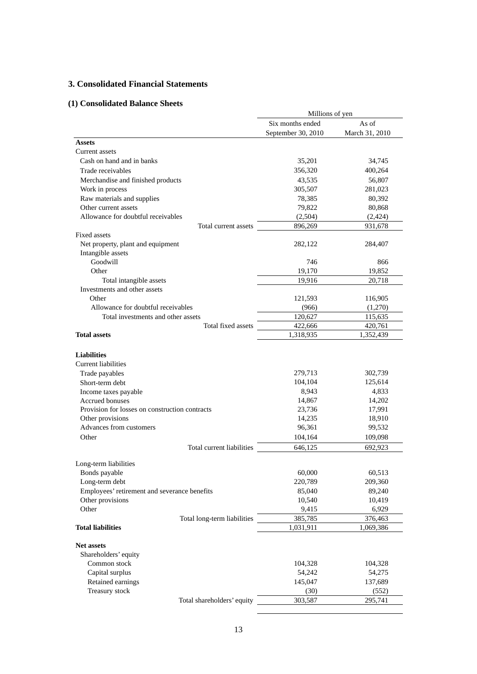## **3. Consolidated Financial Statements**

# **(1) Consolidated Balance Sheets**

|                                                          | Millions of yen      |                      |
|----------------------------------------------------------|----------------------|----------------------|
|                                                          | Six months ended     | As of                |
|                                                          | September 30, 2010   | March 31, 2010       |
| <b>Assets</b>                                            |                      |                      |
| Current assets                                           |                      |                      |
| Cash on hand and in banks                                | 35,201               | 34,745               |
| Trade receivables                                        | 356,320              | 400,264              |
| Merchandise and finished products                        | 43,535               | 56,807               |
| Work in process                                          | 305,507              | 281,023              |
| Raw materials and supplies                               | 78,385               | 80,392               |
| Other current assets                                     | 79,822               | 80,868               |
| Allowance for doubtful receivables                       | (2,504)              | (2,424)              |
| Total current assets                                     | 896,269              | 931,678              |
| <b>Fixed assets</b>                                      |                      |                      |
| Net property, plant and equipment                        | 282,122              | 284,407              |
| Intangible assets                                        |                      |                      |
| Goodwill                                                 | 746                  | 866                  |
| Other                                                    | 19,170               | 19,852               |
| Total intangible assets                                  | 19,916               | 20,718               |
| Investments and other assets                             |                      |                      |
| Other                                                    | 121,593              | 116,905              |
| Allowance for doubtful receivables                       | (966)                | (1,270)              |
| Total investments and other assets<br>Total fixed assets | 120,627              | 115,635              |
| <b>Total assets</b>                                      | 422,666<br>1,318,935 | 420,761<br>1,352,439 |
|                                                          |                      |                      |
|                                                          |                      |                      |
| <b>Liabilities</b><br><b>Current liabilities</b>         |                      |                      |
|                                                          | 279,713              |                      |
| Trade payables<br>Short-term debt                        | 104,104              | 302,739<br>125,614   |
|                                                          | 8,943                | 4,833                |
| Income taxes payable<br><b>Accrued bonuses</b>           | 14,867               | 14,202               |
| Provision for losses on construction contracts           | 23,736               | 17,991               |
| Other provisions                                         | 14,235               | 18,910               |
| Advances from customers                                  | 96,361               | 99,532               |
| Other                                                    | 104,164              | 109,098              |
| Total current liabilities                                |                      |                      |
|                                                          | 646,125              | 692,923              |
| Long-term liabilities                                    |                      |                      |
| Bonds payable                                            | 60,000               | 60,513               |
| Long-term debt                                           | 220,789              | 209,360              |
| Employees' retirement and severance benefits             | 85,040               | 89,240               |
| Other provisions                                         | 10,540               | 10,419               |
| Other                                                    | 9,415                | 6,929                |
| Total long-term liabilities                              | 385,785              | 376,463              |
| <b>Total liabilities</b>                                 | 1,031,911            | 1,069,386            |
|                                                          |                      |                      |
| <b>Net assets</b>                                        |                      |                      |
| Shareholders' equity                                     |                      |                      |
| Common stock                                             | 104,328              | 104,328              |
| Capital surplus                                          | 54,242               | 54,275               |
| Retained earnings                                        | 145,047              | 137,689              |
| Treasury stock                                           | (30)                 | (552)                |
| Total shareholders' equity                               | 303,587              | 295,741              |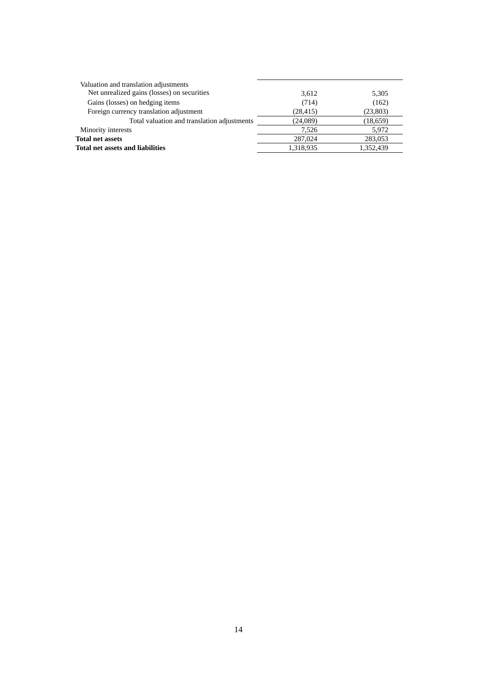| Valuation and translation adjustments       |           |           |
|---------------------------------------------|-----------|-----------|
| Net unrealized gains (losses) on securities | 3,612     | 5,305     |
| Gains (losses) on hedging items             | (714)     | (162)     |
| Foreign currency translation adjustment     | (28, 415) | (23, 803) |
| Total valuation and translation adjustments | (24,089)  | (18,659)  |
| Minority interests                          | 7.526     | 5,972     |
| <b>Total net assets</b>                     | 287,024   | 283,053   |
| <b>Total net assets and liabilities</b>     | 1,318,935 | 1.352.439 |
|                                             |           |           |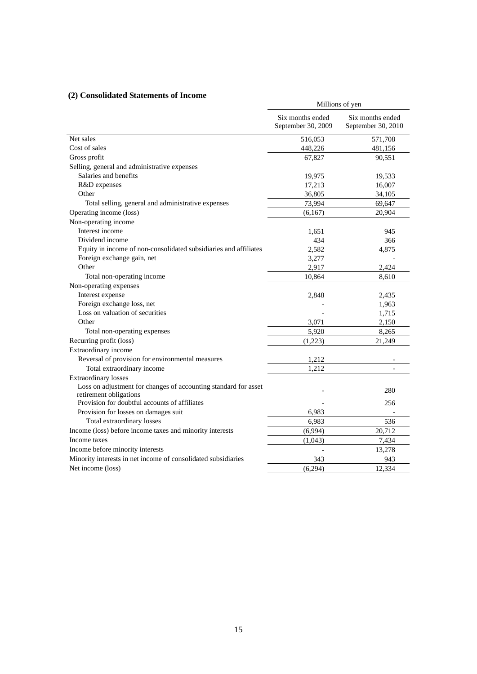## **(2) Consolidated Statements of Income**

| Consonuateu biatements of Income                                                          | Millions of yen                        |                                        |  |  |
|-------------------------------------------------------------------------------------------|----------------------------------------|----------------------------------------|--|--|
|                                                                                           | Six months ended<br>September 30, 2009 | Six months ended<br>September 30, 2010 |  |  |
| Net sales                                                                                 | 516,053                                | 571,708                                |  |  |
| Cost of sales                                                                             | 448,226                                | 481,156                                |  |  |
| Gross profit                                                                              | 67,827                                 | 90,551                                 |  |  |
| Selling, general and administrative expenses                                              |                                        |                                        |  |  |
| Salaries and benefits                                                                     | 19,975                                 | 19,533                                 |  |  |
| R&D expenses                                                                              | 17,213                                 | 16,007                                 |  |  |
| Other                                                                                     | 36,805                                 | 34,105                                 |  |  |
| Total selling, general and administrative expenses                                        | 73,994                                 | 69,647                                 |  |  |
| Operating income (loss)                                                                   | (6,167)                                | 20,904                                 |  |  |
| Non-operating income                                                                      |                                        |                                        |  |  |
| Interest income                                                                           | 1,651                                  | 945                                    |  |  |
| Dividend income                                                                           | 434                                    | 366                                    |  |  |
| Equity in income of non-consolidated subsidiaries and affiliates                          | 2,582                                  | 4,875                                  |  |  |
| Foreign exchange gain, net                                                                | 3,277                                  |                                        |  |  |
| Other                                                                                     | 2,917                                  | 2,424                                  |  |  |
| Total non-operating income                                                                | 10,864                                 | 8,610                                  |  |  |
| Non-operating expenses                                                                    |                                        |                                        |  |  |
| Interest expense                                                                          | 2,848                                  | 2,435                                  |  |  |
| Foreign exchange loss, net                                                                |                                        | 1,963                                  |  |  |
| Loss on valuation of securities                                                           |                                        | 1,715                                  |  |  |
| Other                                                                                     | 3,071                                  | 2,150                                  |  |  |
| Total non-operating expenses                                                              | 5,920                                  | 8,265                                  |  |  |
| Recurring profit (loss)                                                                   | (1,223)                                | 21,249                                 |  |  |
| Extraordinary income                                                                      |                                        |                                        |  |  |
| Reversal of provision for environmental measures                                          | 1,212                                  |                                        |  |  |
| Total extraordinary income                                                                | 1,212                                  |                                        |  |  |
| <b>Extraordinary losses</b>                                                               |                                        |                                        |  |  |
| Loss on adjustment for changes of accounting standard for asset<br>retirement obligations |                                        | 280                                    |  |  |
| Provision for doubtful accounts of affiliates                                             |                                        | 256                                    |  |  |
| Provision for losses on damages suit                                                      | 6,983                                  |                                        |  |  |
| Total extraordinary losses                                                                | 6,983                                  | 536                                    |  |  |
| Income (loss) before income taxes and minority interests                                  | (6,994)                                | 20,712                                 |  |  |
| Income taxes                                                                              | (1,043)                                | 7,434                                  |  |  |
| Income before minority interests                                                          |                                        | 13,278                                 |  |  |
| Minority interests in net income of consolidated subsidiaries                             | 343                                    | 943                                    |  |  |
| Net income (loss)                                                                         | (6,294)                                | 12,334                                 |  |  |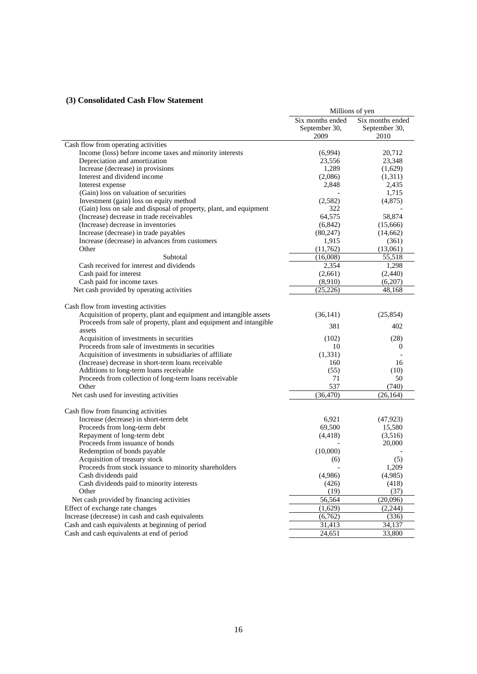## **(3) Consolidated Cash Flow Statement**

|                                                                                                               | Millions of yen  |                  |  |
|---------------------------------------------------------------------------------------------------------------|------------------|------------------|--|
|                                                                                                               | Six months ended | Six months ended |  |
|                                                                                                               | September 30,    | September 30,    |  |
|                                                                                                               | 2009             | 2010             |  |
| Cash flow from operating activities                                                                           |                  |                  |  |
| Income (loss) before income taxes and minority interests                                                      | (6,994)          | 20,712           |  |
| Depreciation and amortization                                                                                 | 23,556           | 23,348           |  |
| Increase (decrease) in provisions                                                                             | 1,289            | (1,629)          |  |
| Interest and dividend income                                                                                  | (2,086)          | (1,311)          |  |
| Interest expense                                                                                              | 2,848            | 2,435            |  |
| (Gain) loss on valuation of securities                                                                        |                  | 1,715            |  |
| Investment (gain) loss on equity method                                                                       | (2,582)          | (4,875)          |  |
| (Gain) loss on sale and disposal of property, plant, and equipment                                            | 322              |                  |  |
| (Increase) decrease in trade receivables                                                                      | 64,575           | 58,874           |  |
| (Increase) decrease in inventories                                                                            | (6, 842)         | (15,666)         |  |
| Increase (decrease) in trade payables                                                                         | (80, 247)        | (14, 662)        |  |
| Increase (decrease) in advances from customers                                                                | 1,915            | (361)            |  |
| Other                                                                                                         | (11,762)         | (13,061)         |  |
| Subtotal                                                                                                      | (16,008)         | 55,518           |  |
| Cash received for interest and dividends                                                                      | 2,354            | 1,298            |  |
| Cash paid for interest                                                                                        | (2,661)          | (2, 440)         |  |
| Cash paid for income taxes                                                                                    | (8,910)          | (6,207)          |  |
| Net cash provided by operating activities                                                                     | (25, 226)        | 48,168           |  |
| Cash flow from investing activities                                                                           |                  |                  |  |
| Acquisition of property, plant and equipment and intangible assets                                            | (36, 141)        | (25, 854)        |  |
| Proceeds from sale of property, plant and equipment and intangible<br>assets                                  | 381              | 402              |  |
| Acquisition of investments in securities                                                                      | (102)            | (28)             |  |
|                                                                                                               | 10               |                  |  |
| Proceeds from sale of investments in securities                                                               | (1, 331)         | 0                |  |
| Acquisition of investments in subsidiaries of affiliate<br>(Increase) decrease in short-term loans receivable | 160              | 16               |  |
|                                                                                                               |                  |                  |  |
| Additions to long-term loans receivable                                                                       | (55)<br>71       | (10)<br>50       |  |
| Proceeds from collection of long-term loans receivable<br>Other                                               | 537              | (740)            |  |
|                                                                                                               | (36, 470)        | (26, 164)        |  |
| Net cash used for investing activities                                                                        |                  |                  |  |
| Cash flow from financing activities                                                                           |                  |                  |  |
| Increase (decrease) in short-term debt                                                                        | 6,921            | (47, 923)        |  |
| Proceeds from long-term debt                                                                                  | 69,500           | 15,580           |  |
| Repayment of long-term debt                                                                                   | (4, 418)         | (3,516)          |  |
| Proceeds from issuance of bonds                                                                               |                  | 20,000           |  |
| Redemption of bonds payable                                                                                   | (10,000)         |                  |  |
| Acquisition of treasury stock                                                                                 | (6)              | (5)              |  |
| Proceeds from stock issuance to minority shareholders                                                         |                  | 1,209            |  |
| Cash dividends paid                                                                                           | (4,986)          | (4,985)          |  |
| Cash dividends paid to minority interests                                                                     | (426)            | (418)            |  |
| Other                                                                                                         | (19)             | (37)             |  |
| Net cash provided by financing activities                                                                     | 56,564           | (20,096)         |  |
| Effect of exchange rate changes                                                                               | (1,629)          | (2,244)          |  |
| Increase (decrease) in cash and cash equivalents                                                              | (6,762)          | (336)            |  |
| Cash and cash equivalents at beginning of period                                                              | 31,413           | 34,137           |  |
| Cash and cash equivalents at end of period                                                                    | 24,651           | 33,800           |  |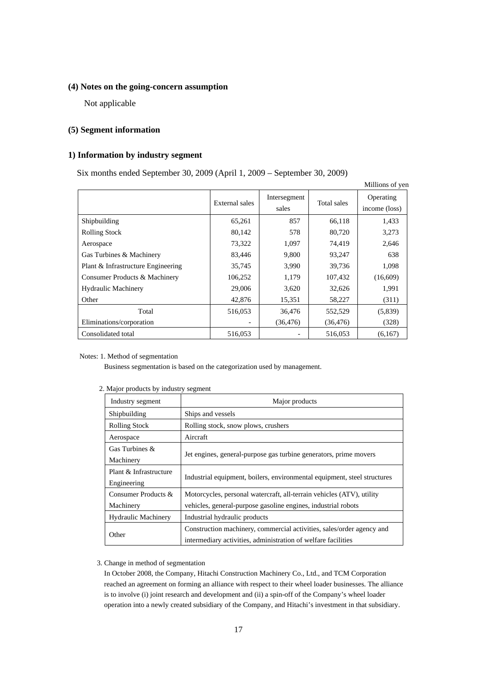## **(4) Notes on the going-concern assumption**

Not applicable

## **(5) Segment information**

## **1) Information by industry segment**

Six months ended September 30, 2009 (April 1, 2009 – September 30, 2009)

|                                    |                |                       |             | Millions of yen            |
|------------------------------------|----------------|-----------------------|-------------|----------------------------|
|                                    | External sales | Intersegment<br>sales | Total sales | Operating<br>income (loss) |
| Shipbuilding                       | 65,261         | 857                   | 66,118      | 1,433                      |
| <b>Rolling Stock</b>               | 80,142         | 578                   | 80,720      | 3,273                      |
| Aerospace                          | 73,322         | 1,097                 | 74.419      | 2,646                      |
| Gas Turbines & Machinery           | 83,446         | 9,800                 | 93,247      | 638                        |
| Plant & Infrastructure Engineering | 35,745         | 3,990                 | 39,736      | 1,098                      |
| Consumer Products & Machinery      | 106,252        | 1,179                 | 107,432     | (16,609)                   |
| <b>Hydraulic Machinery</b>         | 29,006         | 3,620                 | 32,626      | 1,991                      |
| Other                              | 42,876         | 15,351                | 58,227      | (311)                      |
| Total                              | 516,053        | 36,476                | 552,529     | (5,839)                    |
| Eliminations/corporation           |                | (36, 476)             | (36, 476)   | (328)                      |
| Consolidated total                 | 516,053        |                       | 516,053     | (6,167)                    |

#### Notes: 1. Method of segmentation

Business segmentation is based on the categorization used by management.

| Industry segment           | Major products                                                           |
|----------------------------|--------------------------------------------------------------------------|
| Shipbuilding               | Ships and vessels                                                        |
| <b>Rolling Stock</b>       | Rolling stock, snow plows, crushers                                      |
| Aerospace                  | Aircraft                                                                 |
| Gas Turbines $\&$          |                                                                          |
| Machinery                  | Jet engines, general-purpose gas turbine generators, prime movers        |
| Plant & Infrastructure     |                                                                          |
| Engineering                | Industrial equipment, boilers, environmental equipment, steel structures |
| Consumer Products &        | Motorcycles, personal watercraft, all-terrain vehicles (ATV), utility    |
| Machinery                  | vehicles, general-purpose gasoline engines, industrial robots            |
| <b>Hydraulic Machinery</b> | Industrial hydraulic products                                            |
|                            | Construction machinery, commercial activities, sales/order agency and    |
| Other                      | intermediary activities, administration of welfare facilities            |

### 2. Major products by industry segment

#### 3. Change in method of segmentation

In October 2008, the Company, Hitachi Construction Machinery Co., Ltd., and TCM Corporation reached an agreement on forming an alliance with respect to their wheel loader businesses. The alliance is to involve (i) joint research and development and (ii) a spin-off of the Company's wheel loader operation into a newly created subsidiary of the Company, and Hitachi's investment in that subsidiary.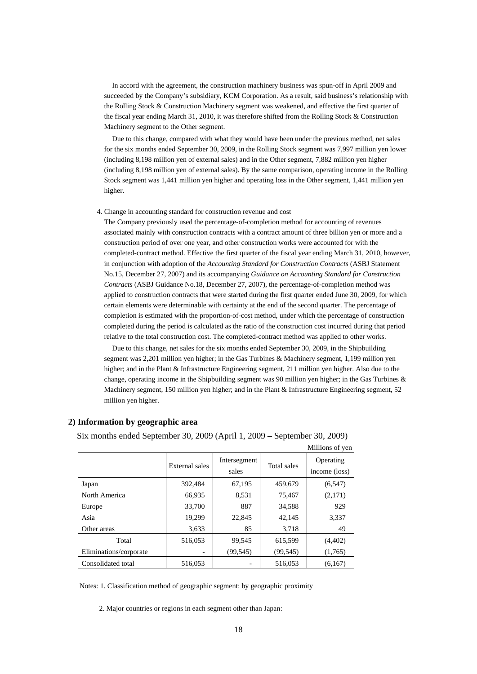In accord with the agreement, the construction machinery business was spun-off in April 2009 and succeeded by the Company's subsidiary, KCM Corporation. As a result, said business's relationship with the Rolling Stock & Construction Machinery segment was weakened, and effective the first quarter of the fiscal year ending March 31, 2010, it was therefore shifted from the Rolling Stock & Construction Machinery segment to the Other segment.

Due to this change, compared with what they would have been under the previous method, net sales for the six months ended September 30, 2009, in the Rolling Stock segment was 7,997 million yen lower (including 8,198 million yen of external sales) and in the Other segment, 7,882 million yen higher (including 8,198 million yen of external sales). By the same comparison, operating income in the Rolling Stock segment was 1,441 million yen higher and operating loss in the Other segment, 1,441 million yen higher.

4. Change in accounting standard for construction revenue and cost

The Company previously used the percentage-of-completion method for accounting of revenues associated mainly with construction contracts with a contract amount of three billion yen or more and a construction period of over one year, and other construction works were accounted for with the completed-contract method. Effective the first quarter of the fiscal year ending March 31, 2010, however, in conjunction with adoption of the *Accounting Standard for Construction Contracts* (ASBJ Statement No.15, December 27, 2007) and its accompanying *Guidance on Accounting Standard for Construction Contracts* (ASBJ Guidance No.18, December 27, 2007), the percentage-of-completion method was applied to construction contracts that were started during the first quarter ended June 30, 2009, for which certain elements were determinable with certainty at the end of the second quarter. The percentage of completion is estimated with the proportion-of-cost method, under which the percentage of construction completed during the period is calculated as the ratio of the construction cost incurred during that period relative to the total construction cost. The completed-contract method was applied to other works.

Due to this change, net sales for the six months ended September 30, 2009, in the Shipbuilding segment was 2,201 million yen higher; in the Gas Turbines & Machinery segment, 1,199 million yen higher; and in the Plant & Infrastructure Engineering segment, 211 million yen higher. Also due to the change, operating income in the Shipbuilding segment was 90 million yen higher; in the Gas Turbines & Machinery segment, 150 million yen higher; and in the Plant & Infrastructure Engineering segment, 52 million yen higher.

|                        |                |                       |             | Millions of yen            |
|------------------------|----------------|-----------------------|-------------|----------------------------|
|                        | External sales | Intersegment<br>sales | Total sales | Operating<br>income (loss) |
| Japan                  | 392,484        | 67,195                | 459,679     | (6, 547)                   |
| North America          | 66,935         | 8,531                 | 75,467      | (2,171)                    |
| Europe                 | 33,700         | 887                   | 34,588      | 929                        |
| Asia                   | 19,299         | 22,845                | 42,145      | 3,337                      |
| Other areas            | 3,633          | 85                    | 3,718       | 49                         |
| Total                  | 516,053        | 99,545                | 615,599     | (4,402)                    |
| Eliminations/corporate | -              | (99, 545)             | (99, 545)   | (1,765)                    |
| Consolidated total     | 516,053        |                       | 516.053     | (6,167)                    |

### **2) Information by geographic area**

Six months ended September 30, 2009 (April 1, 2009 – September 30, 2009)

Notes: 1. Classification method of geographic segment: by geographic proximity

2. Major countries or regions in each segment other than Japan: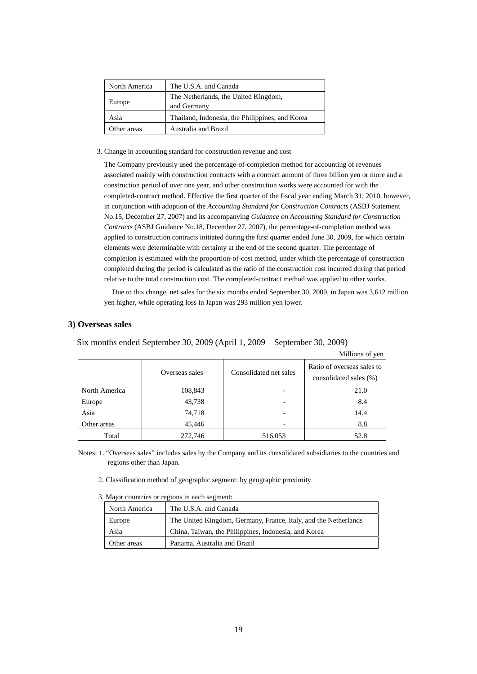| North America | The U.S.A. and Canada                               |
|---------------|-----------------------------------------------------|
| Europe        | The Netherlands, the United Kingdom,<br>and Germany |
| Asia          | Thailand, Indonesia, the Philippines, and Korea     |
| Other areas   | Australia and Brazil                                |

#### 3. Change in accounting standard for construction revenue and cost

The Company previously used the percentage-of-completion method for accounting of revenues associated mainly with construction contracts with a contract amount of three billion yen or more and a construction period of over one year, and other construction works were accounted for with the completed-contract method. Effective the first quarter of the fiscal year ending March 31, 2010, however, in conjunction with adoption of the *Accounting Standard for Construction Contracts* (ASBJ Statement No.15, December 27, 2007) and its accompanying *Guidance on Accounting Standard for Construction Contracts* (ASBJ Guidance No.18, December 27, 2007), the percentage-of-completion method was applied to construction contracts initiated during the first quarter ended June 30, 2009, for which certain elements were determinable with certainty at the end of the second quarter. The percentage of completion is estimated with the proportion-of-cost method, under which the percentage of construction completed during the period is calculated as the ratio of the construction cost incurred during that period relative to the total construction cost. The completed-contract method was applied to other works.

Due to this change, net sales for the six months ended September 30, 2009, in Japan was 3,612 million yen higher, while operating loss in Japan was 293 million yen lower.

#### **3) Overseas sales**

Six months ended September 30, 2009 (April 1, 2009 – September 30, 2009)

|               |                |                        | Millions of yen                                      |
|---------------|----------------|------------------------|------------------------------------------------------|
|               | Overseas sales | Consolidated net sales | Ratio of overseas sales to<br>consolidated sales (%) |
| North America | 108,843        |                        | 21.0                                                 |
| Europe        | 43,738         |                        | 8.4                                                  |
| Asia          | 74,718         |                        | 14.4                                                 |
| Other areas   | 45,446         |                        | 8.8                                                  |
| Total         | 272,746        | 516,053                | 52.8                                                 |

Notes: 1. "Overseas sales" includes sales by the Company and its consolidated subsidiaries to the countries and regions other than Japan.

- 2. Classification method of geographic segment: by geographic proximity
- 3. Major countries or regions in each segment:

| North America | The U.S.A. and Canada                                           |
|---------------|-----------------------------------------------------------------|
| Europe        | The United Kingdom, Germany, France, Italy, and the Netherlands |
| Asia          | China, Taiwan, the Philippines, Indonesia, and Korea            |
| Other areas   | Panama, Australia and Brazil                                    |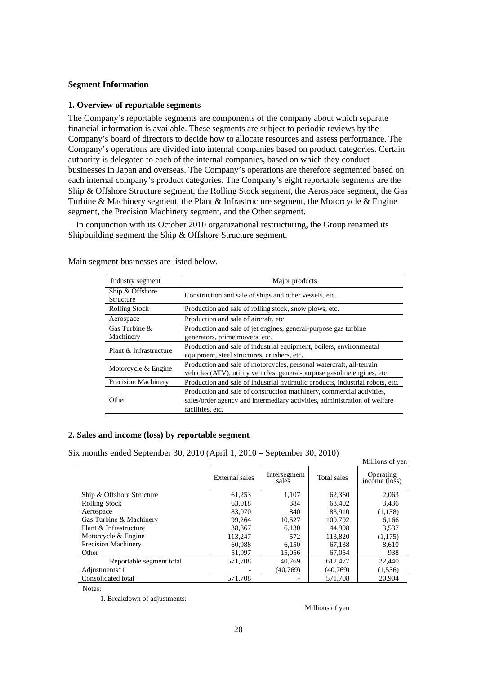## **Segment Information**

## **1. Overview of reportable segments**

The Company's reportable segments are components of the company about which separate financial information is available. These segments are subject to periodic reviews by the Company's board of directors to decide how to allocate resources and assess performance. The Company's operations are divided into internal companies based on product categories. Certain authority is delegated to each of the internal companies, based on which they conduct businesses in Japan and overseas. The Company's operations are therefore segmented based on each internal company's product categories. The Company's eight reportable segments are the Ship & Offshore Structure segment, the Rolling Stock segment, the Aerospace segment, the Gas Turbine & Machinery segment, the Plant & Infrastructure segment, the Motorcycle & Engine segment, the Precision Machinery segment, and the Other segment.

In conjunction with its October 2010 organizational restructuring, the Group renamed its Shipbuilding segment the Ship & Offshore Structure segment.

| Industry segment             | Major products                                                                                                                                                         |
|------------------------------|------------------------------------------------------------------------------------------------------------------------------------------------------------------------|
| Ship & Offshore<br>Structure | Construction and sale of ships and other vessels, etc.                                                                                                                 |
| <b>Rolling Stock</b>         | Production and sale of rolling stock, snow plows, etc.                                                                                                                 |
| Aerospace                    | Production and sale of aircraft, etc.                                                                                                                                  |
| Gas Turbine &<br>Machinery   | Production and sale of jet engines, general-purpose gas turbine<br>generators, prime movers, etc.                                                                      |
| Plant & Infrastructure       | Production and sale of industrial equipment, boilers, environmental<br>equipment, steel structures, crushers, etc.                                                     |
| Motorcycle & Engine          | Production and sale of motorcycles, personal watercraft, all-terrain<br>vehicles (ATV), utility vehicles, general-purpose gasoline engines, etc.                       |
| <b>Precision Machinery</b>   | Production and sale of industrial hydraulic products, industrial robots, etc.                                                                                          |
| Other                        | Production and sale of construction machinery, commercial activities,<br>sales/order agency and intermediary activities, administration of welfare<br>facilities, etc. |

Main segment businesses are listed below.

## **2. Sales and income (loss) by reportable segment**

Six months ended September 30, 2010 (April 1, 2010 – September 30, 2010)

| A monthly ended beptenhed 50, 2010 (Tipm 1, 2010 – beptenhed 50, 2010) |                |                       |             | Millions of yen            |
|------------------------------------------------------------------------|----------------|-----------------------|-------------|----------------------------|
|                                                                        | External sales | Intersegment<br>sales | Total sales | Operating<br>income (loss) |
| Ship & Offshore Structure                                              | 61,253         | 1,107                 | 62,360      | 2,063                      |
| <b>Rolling Stock</b>                                                   | 63,018         | 384                   | 63,402      | 3,436                      |
| Aerospace                                                              | 83,070         | 840                   | 83.910      | (1,138)                    |
| Gas Turbine & Machinery                                                | 99,264         | 10,527                | 109,792     | 6,166                      |
| Plant & Infrastructure                                                 | 38,867         | 6.130                 | 44.998      | 3.537                      |
| Motorcycle & Engine                                                    | 113,247        | 572                   | 113,820     | (1,175)                    |
| <b>Precision Machinery</b>                                             | 60.988         | 6.150                 | 67,138      | 8,610                      |
| Other                                                                  | 51,997         | 15,056                | 67,054      | 938                        |
| Reportable segment total                                               | 571,708        | 40.769                | 612,477     | 22,440                     |
| Adjustments*1                                                          |                | (40,769)              | (40.769)    | (1, 536)                   |
| Consolidated total                                                     | 571.708        |                       | 571.708     | 20.904                     |

Notes:

1. Breakdown of adjustments:

Millions of yen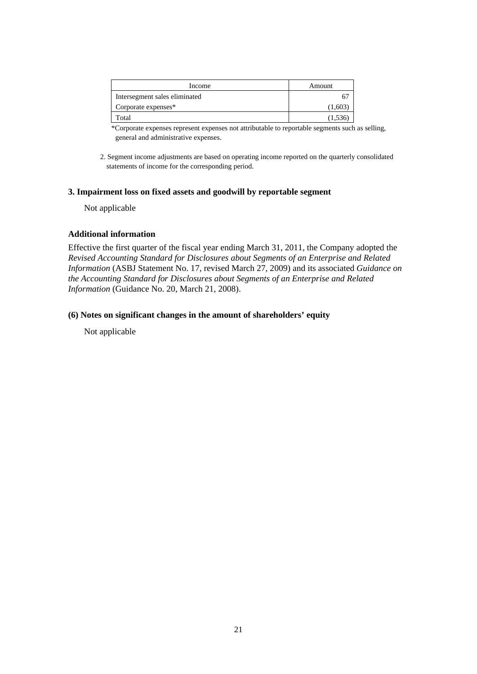| Income                        | Amount  |
|-------------------------------|---------|
| Intersegment sales eliminated |         |
| Corporate expenses*           | (1,603) |
| Total                         | (1,536) |

\*Corporate expenses represent expenses not attributable to reportable segments such as selling, general and administrative expenses.

2. Segment income adjustments are based on operating income reported on the quarterly consolidated statements of income for the corresponding period.

## **3. Impairment loss on fixed assets and goodwill by reportable segment**

Not applicable

## **Additional information**

Effective the first quarter of the fiscal year ending March 31, 2011, the Company adopted the *Revised Accounting Standard for Disclosures about Segments of an Enterprise and Related Information* (ASBJ Statement No. 17, revised March 27, 2009) and its associated *Guidance on the Accounting Standard for Disclosures about Segments of an Enterprise and Related Information* (Guidance No. 20, March 21, 2008).

## **(6) Notes on significant changes in the amount of shareholders' equity**

Not applicable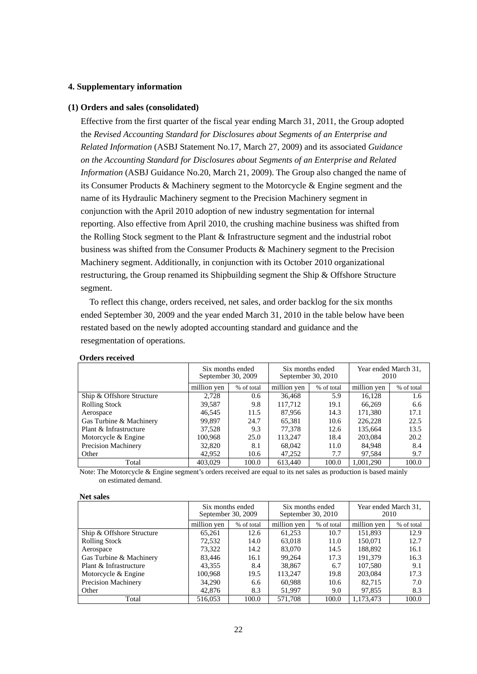## **4. Supplementary information**

### **(1) Orders and sales (consolidated)**

Effective from the first quarter of the fiscal year ending March 31, 2011, the Group adopted the *Revised Accounting Standard for Disclosures about Segments of an Enterprise and Related Information* (ASBJ Statement No.17, March 27, 2009) and its associated *Guidance on the Accounting Standard for Disclosures about Segments of an Enterprise and Related Information* (ASBJ Guidance No.20, March 21, 2009). The Group also changed the name of its Consumer Products & Machinery segment to the Motorcycle & Engine segment and the name of its Hydraulic Machinery segment to the Precision Machinery segment in conjunction with the April 2010 adoption of new industry segmentation for internal reporting. Also effective from April 2010, the crushing machine business was shifted from the Rolling Stock segment to the Plant & Infrastructure segment and the industrial robot business was shifted from the Consumer Products & Machinery segment to the Precision Machinery segment. Additionally, in conjunction with its October 2010 organizational restructuring, the Group renamed its Shipbuilding segment the Ship & Offshore Structure segment.

To reflect this change, orders received, net sales, and order backlog for the six months ended September 30, 2009 and the year ended March 31, 2010 in the table below have been restated based on the newly adopted accounting standard and guidance and the resegmentation of operations.

|                           | Six months ended<br>September 30, 2009 |            | Six months ended<br>September 30, 2010 |            | Year ended March 31,<br>2010 |            |
|---------------------------|----------------------------------------|------------|----------------------------------------|------------|------------------------------|------------|
|                           | million yen                            | % of total | million yen                            | % of total | million yen                  | % of total |
| Ship & Offshore Structure | 2.728                                  | 0.6        | 36,468                                 | 5.9        | 16.128                       | 1.6        |
| <b>Rolling Stock</b>      | 39,587                                 | 9.8        | 117.712                                | 19.1       | 66.269                       | 6.6        |
| Aerospace                 | 46.545                                 | 11.5       | 87.956                                 | 14.3       | 171,380                      | 17.1       |
| Gas Turbine & Machinery   | 99.897                                 | 24.7       | 65,381                                 | 10.6       | 226,228                      | 22.5       |
| Plant & Infrastructure    | 37,528                                 | 9.3        | 77.378                                 | 12.6       | 135,664                      | 13.5       |
| Motorcycle & Engine       | 100.968                                | 25.0       | 113.247                                | 18.4       | 203,084                      | 20.2       |
| Precision Machinery       | 32,820                                 | 8.1        | 68,042                                 | 11.0       | 84.948                       | 8.4        |
| Other                     | 42.952                                 | 10.6       | 47,252                                 | 7.7        | 97,584                       | 9.7        |
| Total                     | 403,029                                | 100.0      | 613.440                                | 100.0      | 1.001.290                    | 100.0      |

### **Orders received**

Note: The Motorcycle & Engine segment's orders received are equal to its net sales as production is based mainly on estimated demand.

#### **Net sales**

|                           | Six months ended<br>September 30, 2009 |            | Six months ended<br>September 30, 2010 |            | Year ended March 31,<br>2010 |            |
|---------------------------|----------------------------------------|------------|----------------------------------------|------------|------------------------------|------------|
|                           | million yen                            | % of total | million yen                            | % of total | million yen                  | % of total |
| Ship & Offshore Structure | 65,261                                 | 12.6       | 61,253                                 | 10.7       | 151,893                      | 12.9       |
| <b>Rolling Stock</b>      | 72,532                                 | 14.0       | 63,018                                 | 11.0       | 150,071                      | 12.7       |
| Aerospace                 | 73,322                                 | 14.2       | 83,070                                 | 14.5       | 188,892                      | 16.1       |
| Gas Turbine & Machinery   | 83,446                                 | 16.1       | 99,264                                 | 17.3       | 191,379                      | 16.3       |
| Plant & Infrastructure    | 43,355                                 | 8.4        | 38,867                                 | 6.7        | 107,580                      | 9.1        |
| Motorcycle & Engine       | 100,968                                | 19.5       | 113,247                                | 19.8       | 203,084                      | 17.3       |
| Precision Machinery       | 34.290                                 | 6.6        | 60,988                                 | 10.6       | 82.715                       | 7.0        |
| Other                     | 42,876                                 | 8.3        | 51.997                                 | 9.0        | 97,855                       | 8.3        |
| Total                     | 516,053                                | 100.0      | 571.708                                | 100.0      | 1.173.473                    | 100.0      |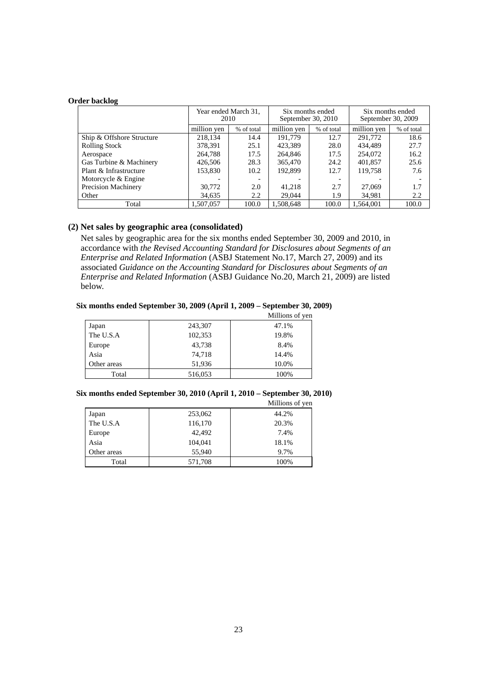### **Order backlog**

|                           | Year ended March 31,<br>2010<br>million yen<br>% of total |       |             | Six months ended<br>September 30, 2010 |             | Six months ended<br>September 30, 2009 |  |
|---------------------------|-----------------------------------------------------------|-------|-------------|----------------------------------------|-------------|----------------------------------------|--|
|                           |                                                           |       | million yen | % of total                             | million yen | % of total                             |  |
| Ship & Offshore Structure | 218,134                                                   | 14.4  | 191.779     | 12.7                                   | 291,772     | 18.6                                   |  |
| <b>Rolling Stock</b>      | 378,391                                                   | 25.1  | 423,389     | 28.0                                   | 434.489     | 27.7                                   |  |
| Aerospace                 | 264,788                                                   | 17.5  | 264,846     | 17.5                                   | 254,072     | 16.2                                   |  |
| Gas Turbine & Machinery   | 426,506                                                   | 28.3  | 365,470     | 24.2                                   | 401,857     | 25.6                                   |  |
| Plant & Infrastructure    | 153,830                                                   | 10.2  | 192,899     | 12.7                                   | 119,758     | 7.6                                    |  |
| Motorcycle & Engine       |                                                           |       |             |                                        |             |                                        |  |
| Precision Machinery       | 30,772                                                    | 2.0   | 41,218      | 2.7                                    | 27,069      | 1.7                                    |  |
| Other                     | 34,635                                                    | 2.2   | 29,044      | 1.9                                    | 34,981      | 2.2                                    |  |
| Total                     | 1.507.057                                                 | 100.0 | 1.508.648   | 100.0                                  | 1.564.001   | 100.0                                  |  |

## **(2) Net sales by geographic area (consolidated)**

Net sales by geographic area for the six months ended September 30, 2009 and 2010, in accordance with *the Revised Accounting Standard for Disclosures about Segments of an Enterprise and Related Information* (ASBJ Statement No.17, March 27, 2009) and its associated *Guidance on the Accounting Standard for Disclosures about Segments of an Enterprise and Related Information* (ASBJ Guidance No.20, March 21, 2009) are listed below.

## **Six months ended September 30, 2009 (April 1, 2009 – September 30, 2009)**

|             |         | Millions of yen |
|-------------|---------|-----------------|
| Japan       | 243,307 | 47.1%           |
| The U.S.A   | 102,353 | 19.8%           |
| Europe      | 43,738  | 8.4%            |
| Asia        | 74,718  | 14.4%           |
| Other areas | 51,936  | 10.0%           |
| Total       | 516,053 | 100%            |

### **Six months ended September 30, 2010 (April 1, 2010 – September 30, 2010)**

|             |         | Millions of yen |
|-------------|---------|-----------------|
| Japan       | 253,062 | 44.2%           |
| The U.S.A   | 116,170 | 20.3%           |
| Europe      | 42,492  | 7.4%            |
| Asia        | 104,041 | 18.1%           |
| Other areas | 55,940  | 9.7%            |
| Total       | 571,708 | 100%            |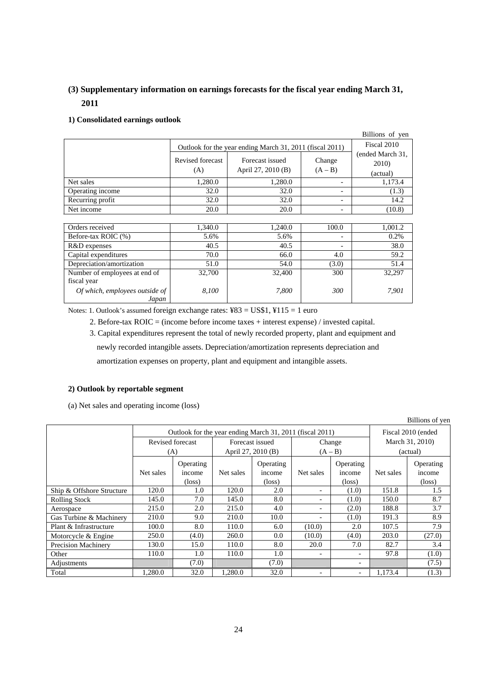# **(3) Supplementary information on earnings forecasts for the fiscal year ending March 31, 2011**

## **1) Consolidated earnings outlook**

|                  |                                                          |                                       |                          | Billions of yen           |  |
|------------------|----------------------------------------------------------|---------------------------------------|--------------------------|---------------------------|--|
|                  | Outlook for the year ending March 31, 2011 (fiscal 2011) | Fiscal 2010                           |                          |                           |  |
|                  | Revised forecast<br>(A)                                  | Forecast issued<br>April 27, 2010 (B) | Change<br>$(A - B)$      | (ended March 31,<br>2010) |  |
|                  |                                                          |                                       |                          | (actual)                  |  |
| Net sales        | 1,280.0                                                  | 1.280.0                               |                          | 1,173.4                   |  |
| Operating income | 32.0                                                     | 32.0                                  | $\overline{\phantom{0}}$ | (1.3)                     |  |
| Recurring profit | 32.0                                                     | 32.0                                  | $\overline{\phantom{0}}$ | 14.2                      |  |
| Net income       | 20.0                                                     | 20.0                                  | $\overline{\phantom{0}}$ | (10.8)                    |  |

| Orders received                         | 1,340.0 | 1,240.0 | 100.0                    | 1,001.2 |
|-----------------------------------------|---------|---------|--------------------------|---------|
| Before-tax ROIC (%)                     | 5.6%    | 5.6%    | $\overline{\phantom{0}}$ | 0.2%    |
| R&D expenses                            | 40.5    | 40.5    | $\overline{\phantom{0}}$ | 38.0    |
| Capital expenditures                    | 70.0    | 66.0    | 4.0                      | 59.2    |
| Depreciation/amortization               | 51.0    | 54.0    | (3.0)                    | 51.4    |
| Number of employees at end of           | 32,700  | 32,400  | 300                      | 32.297  |
| fiscal year                             |         |         |                          |         |
| Of which, employees outside of<br>Japan | 8.100   | 7.800   | 300                      | 7.901   |

Notes: 1. Outlook's assumed foreign exchange rates: ¥83 = US\$1, ¥115 = 1 euro

2. Before-tax ROIC = (income before income taxes + interest expense) / invested capital.

3. Capital expenditures represent the total of newly recorded property, plant and equipment and

newly recorded intangible assets. Depreciation/amortization represents depreciation and

amortization expenses on property, plant and equipment and intangible assets.

## **2) Outlook by reportable segment**

(a) Net sales and operating income (loss)

| <b>DILIONS</b> OF YOU     |                                                          |                                        |                           |                                        |           |                                        |                 |                                        |  |
|---------------------------|----------------------------------------------------------|----------------------------------------|---------------------------|----------------------------------------|-----------|----------------------------------------|-----------------|----------------------------------------|--|
|                           | Outlook for the year ending March 31, 2011 (fiscal 2011) |                                        |                           |                                        |           |                                        |                 | Fiscal 2010 (ended                     |  |
|                           |                                                          | Revised forecast                       | Forecast issued<br>Change |                                        |           |                                        | March 31, 2010) |                                        |  |
|                           | (A)                                                      |                                        | April 27, 2010 (B)        |                                        | $(A - B)$ |                                        | (actual)        |                                        |  |
|                           | Net sales                                                | Operating<br>income<br>$(\text{loss})$ | Net sales                 | Operating<br>income<br>$(\text{loss})$ | Net sales | Operating<br>income<br>$(\text{loss})$ | Net sales       | Operating<br>income<br>$(\text{loss})$ |  |
| Ship & Offshore Structure | 120.0                                                    | 1.0                                    | 120.0                     | 2.0                                    |           | (1.0)                                  | 151.8           | 1.5                                    |  |
| <b>Rolling Stock</b>      | 145.0                                                    | 7.0                                    | 145.0                     | 8.0                                    |           | (1.0)                                  | 150.0           | 8.7                                    |  |
| Aerospace                 | 215.0                                                    | 2.0                                    | 215.0                     | 4.0                                    |           | (2.0)                                  | 188.8           | 3.7                                    |  |
| Gas Turbine & Machinery   | 210.0                                                    | 9.0                                    | 210.0                     | 10.0                                   |           | (1.0)                                  | 191.3           | 8.9                                    |  |
| Plant & Infrastructure    | 100.0                                                    | 8.0                                    | 110.0                     | 6.0                                    | (10.0)    | 2.0                                    | 107.5           | 7.9                                    |  |
| Motorcycle & Engine       | 250.0                                                    | (4.0)                                  | 260.0                     | 0.0                                    | (10.0)    | (4.0)                                  | 203.0           | (27.0)                                 |  |
| Precision Machinery       | 130.0                                                    | 15.0                                   | 110.0                     | 8.0                                    | 20.0      | 7.0                                    | 82.7            | 3.4                                    |  |
| Other                     | 110.0                                                    | 1.0                                    | 110.0                     | 1.0                                    |           | $\overline{\phantom{a}}$               | 97.8            | (1.0)                                  |  |
| Adjustments               |                                                          | (7.0)                                  |                           | (7.0)                                  |           | $\overline{\phantom{a}}$               |                 | (7.5)                                  |  |
| Total                     | 1.280.0                                                  | 32.0                                   | 1.280.0                   | 32.0                                   |           | $\qquad \qquad -$                      | 1.173.4         | (1.3)                                  |  |

Billions of yen